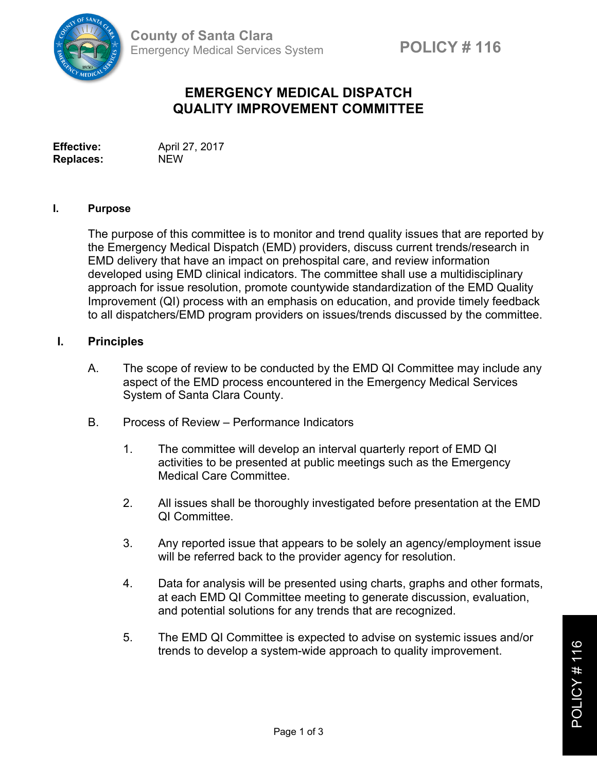

# **EMERGENCY MEDICAL DISPATCH QUALITY IMPROVEMENT COMMITTEE**

**Effective:** April 27, 2017 **Replaces:** NEW

#### **I. Purpose**

The purpose of this committee is to monitor and trend quality issues that are reported by the Emergency Medical Dispatch (EMD) providers, discuss current trends/research in EMD delivery that have an impact on prehospital care, and review information developed using EMD clinical indicators. The committee shall use a multidisciplinary approach for issue resolution, promote countywide standardization of the EMD Quality Improvement (QI) process with an emphasis on education, and provide timely feedback to all dispatchers/EMD program providers on issues/trends discussed by the committee.

#### **I. Principles**

- A. The scope of review to be conducted by the EMD QI Committee may include any aspect of the EMD process encountered in the Emergency Medical Services System of Santa Clara County.
- B. Process of Review Performance Indicators
	- 1. The committee will develop an interval quarterly report of EMD QI activities to be presented at public meetings such as the Emergency Medical Care Committee.
	- 2. All issues shall be thoroughly investigated before presentation at the EMD QI Committee.
	- 3. Any reported issue that appears to be solely an agency/employment issue will be referred back to the provider agency for resolution.
	- 4. Data for analysis will be presented using charts, graphs and other formats, at each EMD QI Committee meeting to generate discussion, evaluation, and potential solutions for any trends that are recognized.
	- 5. The EMD QI Committee is expected to advise on systemic issues and/or trends to develop a system-wide approach to quality improvement.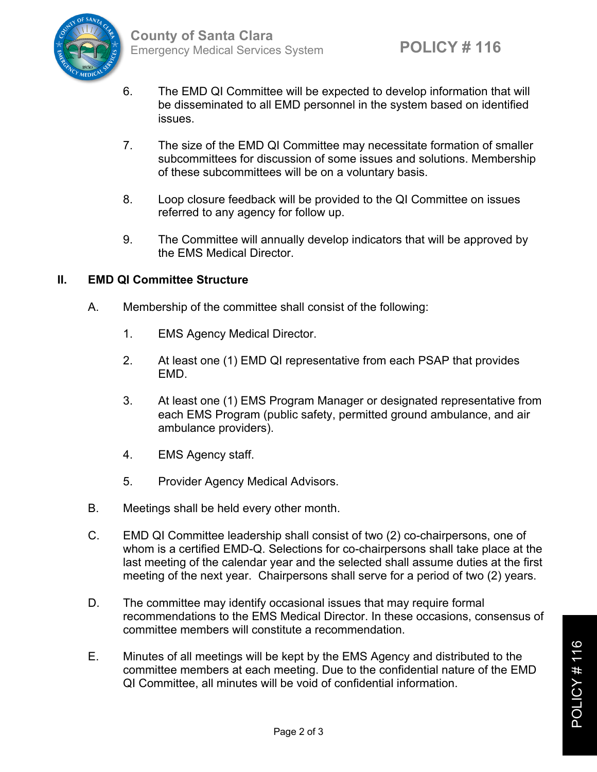

- 6. The EMD QI Committee will be expected to develop information that will be disseminated to all EMD personnel in the system based on identified issues.
- 7. The size of the EMD QI Committee may necessitate formation of smaller subcommittees for discussion of some issues and solutions. Membership of these subcommittees will be on a voluntary basis.
- 8. Loop closure feedback will be provided to the QI Committee on issues referred to any agency for follow up.
- 9. The Committee will annually develop indicators that will be approved by the EMS Medical Director.

## **II. EMD QI Committee Structure**

- A. Membership of the committee shall consist of the following:
	- 1. EMS Agency Medical Director.
	- 2. At least one (1) EMD QI representative from each PSAP that provides EMD.
	- 3. At least one (1) EMS Program Manager or designated representative from each EMS Program (public safety, permitted ground ambulance, and air ambulance providers).
	- 4. EMS Agency staff.
	- 5. Provider Agency Medical Advisors.
- B. Meetings shall be held every other month.
- C. EMD QI Committee leadership shall consist of two (2) co-chairpersons, one of whom is a certified EMD-Q. Selections for co-chairpersons shall take place at the last meeting of the calendar year and the selected shall assume duties at the first meeting of the next year. Chairpersons shall serve for a period of two (2) years.
- D. The committee may identify occasional issues that may require formal recommendations to the EMS Medical Director. In these occasions, consensus of committee members will constitute a recommendation.
- E. Minutes of all meetings will be kept by the EMS Agency and distributed to the committee members at each meeting. Due to the confidential nature of the EMD QI Committee, all minutes will be void of confidential information.